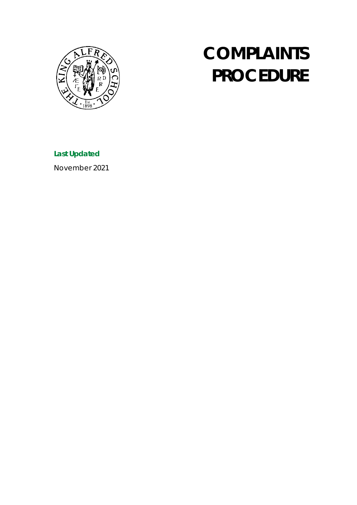

# **COMPLAINTS PROCEDURE**

**Last Updated**

November 2021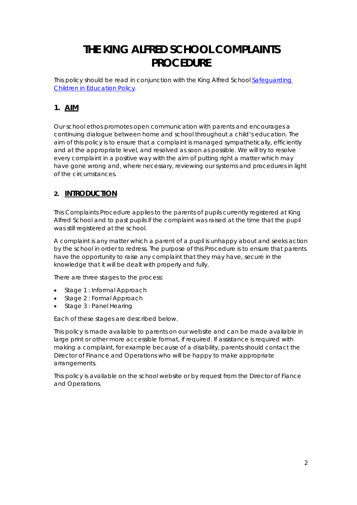# **THE KING ALFRED SCHOOL COMPLAINTS PROCEDURE**

This policy should be read in conjunction with the King Alfred School [Safeguarding](https://www.kingalfred.org.uk/wp-content/uploads/2021/11/Safeguarding-Children-Policy-in-Education-October-2021.pdf)  [Children in Education Policy.](https://www.kingalfred.org.uk/wp-content/uploads/2021/11/Safeguarding-Children-Policy-in-Education-October-2021.pdf)

# **1. AIM**

Our school ethos promotes open communication with parents and encourages a continuing dialogue between home and school throughout a child's education. The aim of this policy is to ensure that a complaint is managed sympathetically, efficiently and at the appropriate level, and resolved as soon as possible. We will try to resolve every complaint in a positive way with the aim of putting right a matter which may have gone wrong and, where necessary, reviewing our systems and procedures in light of the circumstances.

# **2. INTRODUCTION**

This Complaints Procedure applies to the parents of pupils currently registered at King Alfred School and to past pupils if the complaint was raised at the time that the pupil was still registered at the school.

A complaint is any matter which a parent of a pupil is unhappy about and seeks action by the school in order to redress. The purpose of this Procedure is to ensure that parents have the opportunity to raise any complaint that they may have, secure in the knowledge that it will be dealt with properly and fully.

There are three stages to the process:

- Stage 1 : Informal Approach
- Stage 2 : Formal Approach
- Stage 3 : Panel Hearing

Each of these stages are described below.

This policy is made available to parents on our website and can be made available in large print or other more accessible format, if required. If assistance is required with making a complaint, for example because of a disability, parents should contact the Director of Finance and Operations who will be happy to make appropriate arrangements.

This policy is available on the school website or by request from the Director of Fiance and Operations.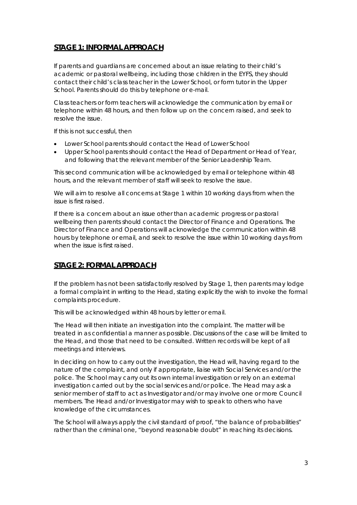# **STAGE 1: INFORMAL APPROACH**

If parents and guardians are concerned about an issue relating to their child's academic or pastoral wellbeing, including those children in the EYFS, they should contact their child's class teacher in the Lower School, or form tutor in the Upper School. Parents should do this by telephone or e-mail.

Class teachers or form teachers will acknowledge the communication by email or telephone within 48 hours, and then follow up on the concern raised, and seek to resolve the issue.

If this is not successful, then

- Lower School parents should contact the Head of Lower School
- Upper School parents should contact the Head of Department or Head of Year, and following that the relevant member of the Senior Leadership Team.

This second communication will be acknowledged by email or telephone within 48 hours, and the relevant member of staff will seek to resolve the issue.

We will aim to resolve all concerns at Stage 1 within 10 working days from when the issue is first raised.

If there is a concern about an issue other than academic progress or pastoral wellbeing then parents should contact the Director of Finance and Operations. The Director of Finance and Operations will acknowledge the communication within 48 hours by telephone or email, and seek to resolve the issue within 10 working days from when the issue is first raised.

## **STAGE 2: FORMAL APPROACH**

If the problem has not been satisfactorily resolved by Stage 1, then parents may lodge a formal complaint in writing to the Head, stating explicitly the wish to invoke the formal complaints procedure.

This will be acknowledged within 48 hours by letter or email.

The Head will then initiate an investigation into the complaint. The matter will be treated in as confidential a manner as possible. Discussions of the case will be limited to the Head, and those that need to be consulted. Written records will be kept of all meetings and interviews.

In deciding on how to carry out the investigation, the Head will, having regard to the nature of the complaint, and only if appropriate, liaise with Social Services and/or the police. The School may carry out its own internal investigation or rely on an external investigation carried out by the social services and/or police. The Head may ask a senior member of staff to act as Investigator and/or may involve one or more Council members. The Head and/or Investigator may wish to speak to others who have knowledge of the circumstances.

The School will always apply the civil standard of proof, "the balance of probabilities" rather than the criminal one, "beyond reasonable doubt" in reaching its decisions.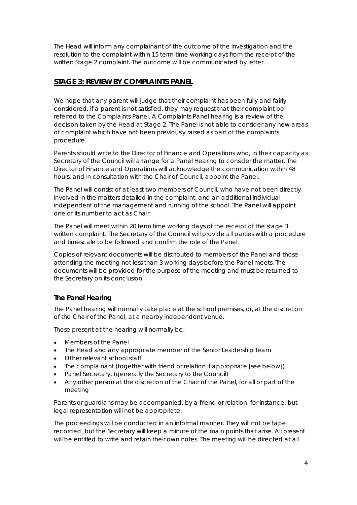The Head will inform any complainant of the outcome of the investigation and the resolution to the complaint within 15 term-time working days from the receipt of the written Stage 2 complaint. The outcome will be communicated by letter.

## **STAGE 3: REVIEW BY COMPLAINTS PANEL**

We hope that any parent will judge that their complaint has been fully and fairly considered. If a parent is not satisfied, they may request that their complaint be referred to the Complaints Panel. A Complaints Panel hearing is a review of the decision taken by the Head at Stage 2. The Panel is not able to consider any new areas of complaint which have not been previously raised as part of the complaints procedure.

Parents should write to the Director of Finance and Operations who, in their capacity as Secretary of the Council will arrange for a Panel Hearing to consider the matter. The Director of Finance and Operations will acknowledge the communication within 48 hours, and in consultation with the Chair of Council, appoint the Panel.

The Panel will consist of at least two members of Council, who have not been directly involved in the matters detailed in the complaint, and an additional individual independent of the management and running of the school. The Panel will appoint one of its number to act as Chair.

The Panel will meet within 20 term time working days of the receipt of the stage 3 written complaint. The Secretary of the Council will provide all parties with a procedure and timescale to be followed and confirm the role of the Panel.

Copies of relevant documents will be distributed to members of the Panel and those attending the meeting not less than 3 working days before the Panel meets. The documents will be provided for the purpose of the meeting and must be returned to the Secretary on its conclusion.

#### **The Panel Hearing**

The Panel hearing will normally take place at the school premises, or, at the discretion of the Chair of the Panel, at a nearby independent venue.

Those present at the hearing will normally be:

- Members of the Panel
- The Head and any appropriate member of the Senior Leadership Team
- Other relevant school staff
- The complainant (together with friend or relation if appropriate [see below])
- Panel Secretary, (generally the Secretary to the Council)
- Any other person at the discretion of the Chair of the Panel, for all or part of the meeting

Parents or guardians may be accompanied, by a friend or relation, for instance, but legal representation will not be appropriate.

The proceedings will be conducted in an informal manner. They will not be tape recorded, but the Secretary will keep a minute of the main points that arise. All present will be entitled to write and retain their own notes. The meeting will be directed at all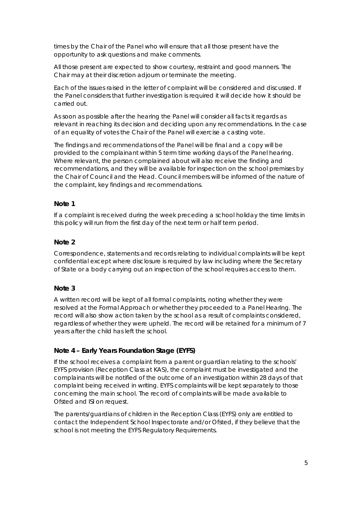times by the Chair of the Panel who will ensure that all those present have the opportunity to ask questions and make comments.

All those present are expected to show courtesy, restraint and good manners. The Chair may at their discretion adjourn or terminate the meeting.

Each of the issues raised in the letter of complaint will be considered and discussed. If the Panel considers that further investigation is required it will decide how it should be carried out.

As soon as possible after the hearing the Panel will consider all facts it regards as relevant in reaching its decision and deciding upon any recommendations. In the case of an equality of votes the Chair of the Panel will exercise a casting vote.

The findings and recommendations of the Panel will be final and a copy will be provided to the complainant within 5 term time working days of the Panel hearing. Where relevant, the person complained about will also receive the finding and recommendations, and they will be available for inspection on the school premises by the Chair of Council and the Head. Council members will be informed of the nature of the complaint, key findings and recommendations.

#### **Note 1**

If a complaint is received during the week preceding a school holiday the time limits in this policy will run from the first day of the next term or half term period.

#### **Note 2**

Correspondence, statements and records relating to individual complaints will be kept confidential except where disclosure is required by law including where the Secretary of State or a body carrying out an inspection of the school requires access to them.

#### **Note 3**

A written record will be kept of all formal complaints, noting whether they were resolved at the Formal Approach or whether they proceeded to a Panel Hearing. The record will also show action taken by the school as a result of complaints considered, regardless of whether they were upheld. The record will be retained for a minimum of 7 years after the child has left the school.

#### **Note 4 – Early Years Foundation Stage (EYFS)**

If the school receives a complaint from a parent or guardian relating to the schools' EYFS provision (Reception Class at KAS), the complaint must be investigated and the complainants will be notified of the outcome of an investigation within 28 days of that complaint being received in writing. EYFS complaints will be kept separately to those concerning the main school. The record of complaints will be made available to Ofsted and ISI on request.

The parents/guardians of children in the Reception Class (EYFS) only are entitled to contact the Independent School Inspectorate and/or Ofsted, if they believe that the school is not meeting the EYFS Regulatory Requirements.